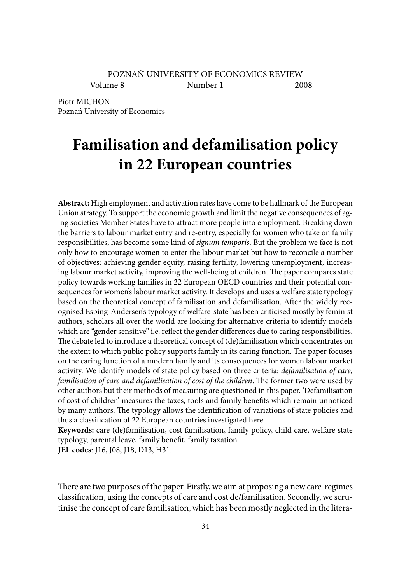Volume 8 Number 1 2008

Piotr MICHOŃ Poznań University of Economics

# **Familisation and defamilisation policy in 22 European countries**

**Abstract:** High employment and activation rates have come to be hallmark of the European Union strategy. To support the economic growth and limit the negative consequences of aging societies Member States have to attract more people into employment. Breaking down the barriers to labour market entry and re-entry, especially for women who take on family responsibilities, has become some kind of *signum temporis*. But the problem we face is not only how to encourage women to enter the labour market but how to reconcile a number of objectives: achieving gender equity, raising fertility, lowering unemployment, increasing labour market activity, improving the well-being of children. The paper compares state policy towards working families in 22 European OECD countries and their potential consequences for women's labour market activity. It develops and uses a welfare state typology based on the theoretical concept of familisation and defamilisation. After the widely recognised Esping-Andersen's typology of welfare-state has been criticised mostly by feminist authors, scholars all over the world are looking for alternative criteria to identify models which are "gender sensitive" i.e. reflect the gender differences due to caring responsibilities. The debate led to introduce a theoretical concept of (de)familisation which concentrates on the extent to which public policy supports family in its caring function. The paper focuses on the caring function of a modern family and its consequences for women labour market activity. We identify models of state policy based on three criteria: *defamilisation of care, familisation of care and defamilisation of cost of the children*. The former two were used by other authors but their methods of measuring are questioned in this paper. 'Defamilisation of cost of children' measures the taxes, tools and family benefits which remain unnoticed by many authors. The typology allows the identification of variations of state policies and thus a classification of 22 European countries investigated here.

**Keywords:** care (de)familisation, cost familisation, family policy, child care, welfare state typology, parental leave, family benefit, family taxation **JEL codes**: J16, J08, J18, D13, H31.

There are two purposes of the paper. Firstly, we aim at proposing a new care regimes classification, using the concepts of care and cost de/familisation. Secondly, we scrutinise the concept of care familisation, which has been mostly neglected in the litera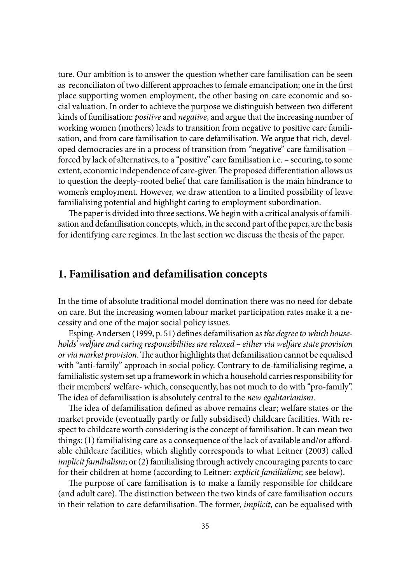ture. Our ambition is to answer the question whether care familisation can be seen as reconciliaton of two different approaches to female emancipation; one in the first place supporting women employment, the other basing on care economic and social valuation. In order to achieve the purpose we distinguish between two different kinds of familisation: *positive* and *negative*, and argue that the increasing number of working women (mothers) leads to transition from negative to positive care familisation, and from care familisation to care defamilisation. We argue that rich, developed democracies are in a process of transition from "negative" care familisation – forced by lack of alternatives, to a "positive" care familisation i.e. – securing, to some extent, economic independence of care-giver. The proposed differentiation allows us to question the deeply-rooted belief that care familisation is the main hindrance to women's employment. However, we draw attention to a limited possibility of leave familialising potential and highlight caring to employment subordination.

The paper is divided into three sections. We begin with a critical analysis of familisation and defamilisation concepts, which, in the second part of the paper, are the basis for identifying care regimes. In the last section we discuss the thesis of the paper.

#### **1. Familisation and defamilisation concepts**

In the time of absolute traditional model domination there was no need for debate on care. But the increasing women labour market participation rates make it a necessity and one of the major social policy issues.

Esping-Andersen (1999, p. 51) defines defamilisation as *the degree to which households' welfare and caring responsibilities are relaxed – either via welfare state provision or via market provision*. The author highlights that defamilisation cannot be equalised with "anti-family" approach in social policy. Contrary to de-familialising regime, a familialistic system set up a framework in which a household carries responsibility for their members' welfare- which, consequently, has not much to do with "pro-family". The idea of defamilisation is absolutely central to the *new egalitarianism*.

The idea of defamilisation defined as above remains clear; welfare states or the market provide (eventually partly or fully subsidised) childcare facilities. With respect to childcare worth considering is the concept of familisation. It can mean two things: (1) familialising care as a consequence of the lack of available and/or affordable childcare facilities, which slightly corresponds to what Leitner (2003) called *implicit familialism*; or (2) familialising through actively encouraging parents to care for their children at home (according to Leitner: *explicit familialism*; see below).

The purpose of care familisation is to make a family responsible for childcare (and adult care). The distinction between the two kinds of care familisation occurs in their relation to care defamilisation. The former, *implicit*, can be equalised with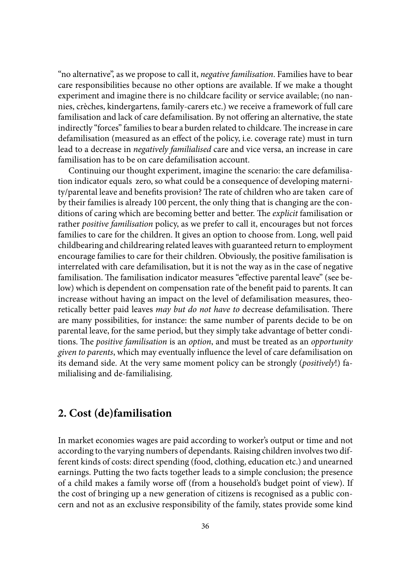"no alternative", as we propose to call it, *negative familisation*. Families have to bear care responsibilities because no other options are available. If we make a thought experiment and imagine there is no childcare facility or service available; (no nannies, crèches, kindergartens, family-carers etc.) we receive a framework of full care familisation and lack of care defamilisation. By not offering an alternative, the state indirectly "forces" families to bear a burden related to childcare. The increase in care defamilisation (measured as an effect of the policy, i.e. coverage rate) must in turn lead to a decrease in *negatively familialised* care and vice versa, an increase in care familisation has to be on care defamilisation account.

Continuing our thought experiment, imagine the scenario: the care defamilisation indicator equals zero, so what could be a consequence of developing maternity/parental leave and benefits provision? The rate of children who are taken care of by their families is already 100 percent, the only thing that is changing are the conditions of caring which are becoming better and better. The *explicit* familisation or rather *positive familisation* policy, as we prefer to call it, encourages but not forces families to care for the children. It gives an option to choose from. Long, well paid childbearing and childrearing related leaves with guaranteed return to employment encourage families to care for their children. Obviously, the positive familisation is interrelated with care defamilisation, but it is not the way as in the case of negative familisation. The familisation indicator measures "effective parental leave" (see below) which is dependent on compensation rate of the benefit paid to parents. It can increase without having an impact on the level of defamilisation measures, theoretically better paid leaves *may but do not have to decrease defamilisation*. There are many possibilities, for instance: the same number of parents decide to be on parental leave, for the same period, but they simply take advantage of better conditions. The *positive familisation* is an *option*, and must be treated as an *opportunity given to parents*, which may eventually infl uence the level of care defamilisation on its demand side. At the very same moment policy can be strongly (*positively*!) familialising and de-familialising.

### **2. Cost (de)familisation**

In market economies wages are paid according to worker's output or time and not according to the varying numbers of dependants. Raising children involves two different kinds of costs: direct spending (food, clothing, education etc.) and unearned earnings. Putting the two facts together leads to a simple conclusion; the presence of a child makes a family worse off (from a household's budget point of view). If the cost of bringing up a new generation of citizens is recognised as a public concern and not as an exclusive responsibility of the family, states provide some kind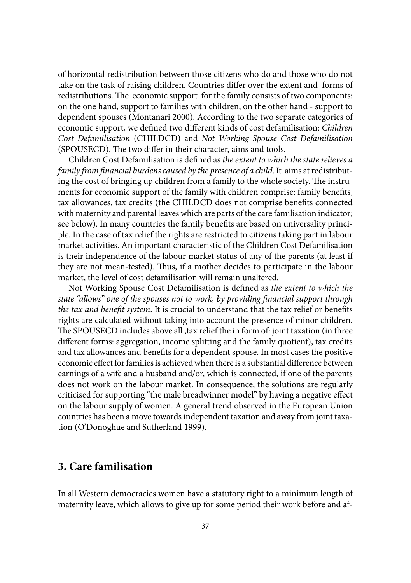of horizontal redistribution between those citizens who do and those who do not take on the task of raising children. Countries differ over the extent and forms of redistributions. The economic support for the family consists of two components: on the one hand, support to families with children, on the other hand - support to dependent spouses (Montanari 2000). According to the two separate categories of economic support, we defined two different kinds of cost defamilisation: *Children Cost Defamilisation* (CHILDCD) and *Not Working Spouse Cost Defamilisation*  (SPOUSECD). The two differ in their character, aims and tools.

Children Cost Defamilisation is defined as *the extent to which the state relieves a family from financial burdens caused by the presence of a child. It aims at redistribut*ing the cost of bringing up children from a family to the whole society. The instruments for economic support of the family with children comprise: family benefits, tax allowances, tax credits (the CHILDCD does not comprise benefits connected with maternity and parental leaves which are parts of the care familisation indicator; see below). In many countries the family benefits are based on universality principle. In the case of tax relief the rights are restricted to citizens taking part in labour market activities. An important characteristic of the Children Cost Defamilisation is their independence of the labour market status of any of the parents (at least if they are not mean-tested). Thus, if a mother decides to participate in the labour market, the level of cost defamilisation will remain unaltered.

Not Working Spouse Cost Defamilisation is defined as *the extent to which the state "allows" one of the spouses not to work, by providing financial support through the tax and benefit system.* It is crucial to understand that the tax relief or benefits rights are calculated without taking into account the presence of minor children. The SPOUSECD includes above all ,tax relief the in form of: joint taxation (in three different forms: aggregation, income splitting and the family quotient), tax credits and tax allowances and benefits for a dependent spouse. In most cases the positive economic effect for families is achieved when there is a substantial difference between earnings of a wife and a husband and/or, which is connected, if one of the parents does not work on the labour market. In consequence, the solutions are regularly criticised for supporting "the male breadwinner model" by having a negative effect on the labour supply of women. A general trend observed in the European Union countries has been a move towards independent taxation and away from joint taxation (O'Donoghue and Sutherland 1999).

## **3. Care familisation**

In all Western democracies women have a statutory right to a minimum length of maternity leave, which allows to give up for some period their work before and af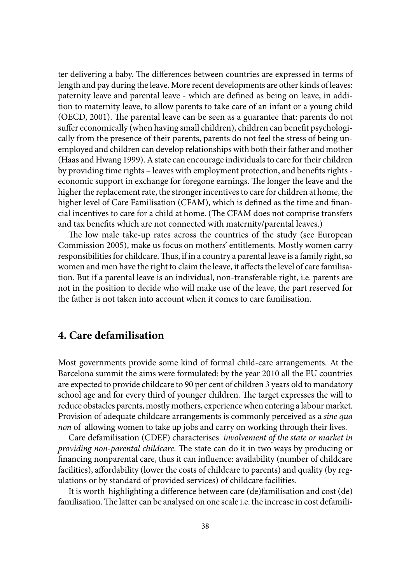ter delivering a baby. The differences between countries are expressed in terms of length and pay during the leave. More recent developments are other kinds of leaves: paternity leave and parental leave - which are defined as being on leave, in addition to maternity leave, to allow parents to take care of an infant or a young child (OECD, 2001). The parental leave can be seen as a guarantee that: parents do not suffer economically (when having small children), children can benefit psychologically from the presence of their parents, parents do not feel the stress of being unemployed and children can develop relationships with both their father and mother (Haas and Hwang 1999). A state can encourage individuals to care for their children by providing time rights - leaves with employment protection, and benefits rights economic support in exchange for foregone earnings. The longer the leave and the higher the replacement rate, the stronger incentives to care for children at home, the higher level of Care Familisation (CFAM), which is defined as the time and financial incentives to care for a child at home. (The CFAM does not comprise transfers and tax benefits which are not connected with maternity/parental leaves.)

The low male take-up rates across the countries of the study (see European Commission 2005), make us focus on mothers' entitlements. Mostly women carry responsibilities for childcare. Thus, if in a country a parental leave is a family right, so women and men have the right to claim the leave, it affects the level of care familisation. But if a parental leave is an individual, non-transferable right, i.e. parents are not in the position to decide who will make use of the leave, the part reserved for the father is not taken into account when it comes to care familisation.

#### **4. Care defamilisation**

Most governments provide some kind of formal child-care arrangements. At the Barcelona summit the aims were formulated: by the year 2010 all the EU countries are expected to provide childcare to 90 per cent of children 3 years old to mandatory school age and for every third of younger children. The target expresses the will to reduce obstacles parents, mostly mothers, experience when entering a labour market. Provision of adequate childcare arrangements is commonly perceived as a *sine qua non* of allowing women to take up jobs and carry on working through their lives.

Care defamilisation (CDEF) characterises *involvement of the state or market in providing non-parental childcare*. The state can do it in two ways by producing or financing nonparental care, thus it can influence: availability (number of childcare facilities), affordability (lower the costs of childcare to parents) and quality (by regulations or by standard of provided services) of childcare facilities.

It is worth highlighting a difference between care (de)familisation and cost (de) familisation. The latter can be analysed on one scale i.e. the increase in cost defamili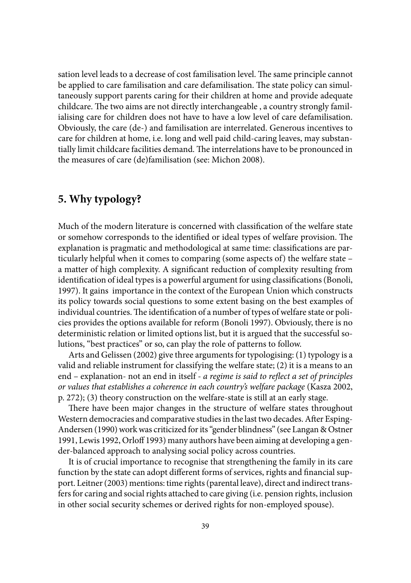sation level leads to a decrease of cost familisation level. The same principle cannot be applied to care familisation and care defamilisation. The state policy can simultaneously support parents caring for their children at home and provide adequate childcare. The two aims are not directly interchangeable, a country strongly familialising care for children does not have to have a low level of care defamilisation. Obviously, the care (de-) and familisation are interrelated. Generous incentives to care for children at home, i.e. long and well paid child-caring leaves, may substantially limit childcare facilities demand. The interrelations have to be pronounced in the measures of care (de)familisation (see: Michon 2008).

# **5. Why typology?**

Much of the modern literature is concerned with classification of the welfare state or somehow corresponds to the identified or ideal types of welfare provision. The explanation is pragmatic and methodological at same time: classifications are particularly helpful when it comes to comparing (some aspects of) the welfare state – a matter of high complexity. A significant reduction of complexity resulting from identification of ideal types is a powerful argument for using classifications (Bonoli, 1997). It gains importance in the context of the European Union which constructs its policy towards social questions to some extent basing on the best examples of individual countries. The identification of a number of types of welfare state or policies provides the options available for reform (Bonoli 1997). Obviously, there is no deterministic relation or limited options list, but it is argued that the successful solutions, "best practices" or so, can play the role of patterns to follow.

Arts and Gelissen (2002) give three arguments for typologising: (1) typology is a valid and reliable instrument for classifying the welfare state; (2) it is a means to an end – explanation- not an end in itself - *a regime is said to reflect a set of principles or values that establishes a coherence in each country's welfare package* (Kasza 2002, p. 272); (3) theory construction on the welfare-state is still at an early stage.

There have been major changes in the structure of welfare states throughout Western democracies and comparative studies in the last two decades. After Esping-Andersen (1990) work was criticized for its "gender blindness" (see Langan & Ostner 1991, Lewis 1992, Orloff 1993) many authors have been aiming at developing a gender-balanced approach to analysing social policy across countries.

It is of crucial importance to recognise that strengthening the family in its care function by the state can adopt different forms of services, rights and financial support. Leitner (2003) mentions: time rights (parental leave), direct and indirect transfers for caring and social rights attached to care giving (i.e. pension rights, inclusion in other social security schemes or derived rights for non-employed spouse).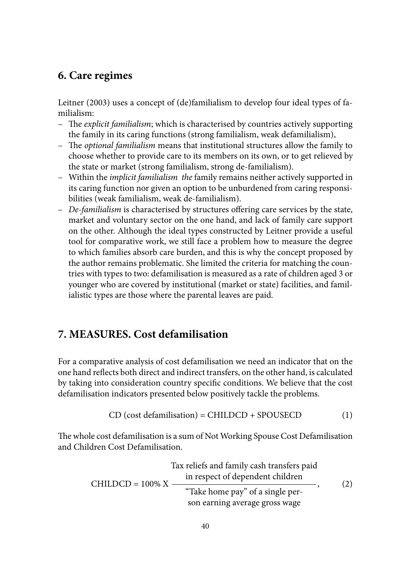#### **6. Care regimes**

Leitner (2003) uses a concept of (de)familialism to develop four ideal types of familialism:

- The *explicit familialism*; which is characterised by countries actively supporting the family in its caring functions (strong familialism, weak defamilialism),
- The *optional familialism* means that institutional structures allow the family to choose whether to provide care to its members on its own, or to get relieved by the state or market (strong familialism, strong de-familialism).
- Within the *implicit familialism the* family remains neither actively supported in its caring function nor given an option to be unburdened from caring responsibilities (weak familialism, weak de-familialism).
- De-familialism is characterised by structures offering care services by the state, market and voluntary sector on the one hand, and lack of family care support on the other. Although the ideal types constructed by Leitner provide a useful tool for comparative work, we still face a problem how to measure the degree to which families absorb care burden, and this is why the concept proposed by the author remains problematic. She limited the criteria for matching the countries with types to two: defamilisation is measured as a rate of children aged 3 or younger who are covered by institutional (market or state) facilities, and familialistic types are those where the parental leaves are paid.

#### **7. MEASURES. Cost defamilisation**

For a comparative analysis of cost defamilisation we need an indicator that on the one hand reflects both direct and indirect transfers, on the other hand, is calculated by taking into consideration country specifi c conditions. We believe that the cost defamilisation indicators presented below positively tackle the problems.

$$
CD (cost definition) = CHILDCD + SPOUSECD
$$
 (1)

The whole cost defamilisation is a sum of Not Working Spouse Cost Defamilisation and Children Cost Defamilisation.

$$
ext{Tax relies and family cash transfers paid}
$$
\nCHILDCD = 100% X

\n
$$
\frac{\text{``Take home pay'' of a single per-}}{\text{``Take home pay'' of a single per-}}.
$$
\n(2)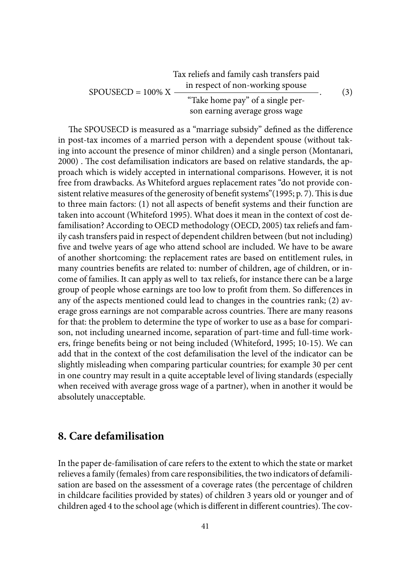$$
ext{Tax relies and family cash transfers paid}
$$
\n
$$
SPOUSECD = 100\% X \frac{\text{in respect of non-workers pause}}{\text{Take home pay" of a single per-}}.\tag{3}
$$
\n
$$
(3)
$$

The SPOUSECD is measured as a "marriage subsidy" defined as the difference in post-tax incomes of a married person with a dependent spouse (without taking into account the presence of minor children) and a single person (Montanari, 2000) . The cost defamilisation indicators are based on relative standards, the approach which is widely accepted in international comparisons. However, it is not free from drawbacks. As Whiteford argues replacement rates "do not provide consistent relative measures of the generosity of benefit systems" (1995; p. 7). This is due to three main factors: (1) not all aspects of benefi t systems and their function are taken into account (Whiteford 1995). What does it mean in the context of cost defamilisation? According to OECD methodology (OECD, 2005) tax reliefs and family cash transfers paid in respect of dependent children between (but not including) five and twelve years of age who attend school are included. We have to be aware of another shortcoming: the replacement rates are based on entitlement rules, in many countries benefits are related to: number of children, age of children, or income of families. It can apply as well to tax reliefs, for instance there can be a large group of people whose earnings are too low to profit from them. So differences in any of the aspects mentioned could lead to changes in the countries rank; (2) average gross earnings are not comparable across countries. There are many reasons for that: the problem to determine the type of worker to use as a base for comparison, not including unearned income, separation of part-time and full-time workers, fringe benefits being or not being included (Whiteford, 1995; 10-15). We can add that in the context of the cost defamilisation the level of the indicator can be slightly misleading when comparing particular countries; for example 30 per cent in one country may result in a quite acceptable level of living standards (especially when received with average gross wage of a partner), when in another it would be absolutely unacceptable.

#### **8. Care defamilisation**

In the paper de-familisation of care refers to the extent to which the state or market relieves a family (females) from care responsibilities, the two indicators of defamilisation are based on the assessment of a coverage rates (the percentage of children in childcare facilities provided by states) of children 3 years old or younger and of children aged 4 to the school age (which is different in different countries). The cov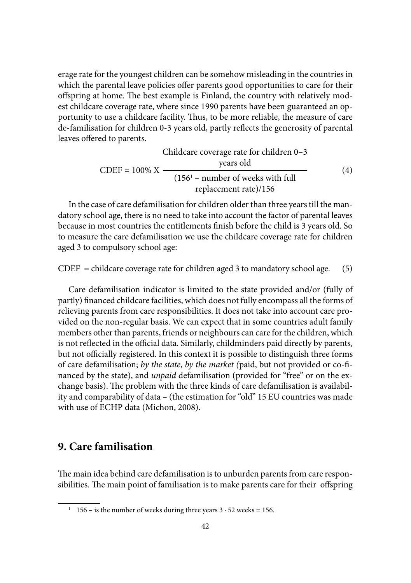erage rate for the youngest children can be somehow misleading in the countries in which the parental leave policies offer parents good opportunities to care for their offspring at home. The best example is Finland, the country with relatively modest childcare coverage rate, where since 1990 parents have been guaranteed an opportunity to use a childcare facility. Thus, to be more reliable, the measure of care de-familisation for children 0-3 years old, partly reflects the generosity of parental leaves offered to parents.

Children coverage rate for children 0–3 years old

\nCDEF = 
$$
100\% \, \text{X}
$$

\n
$$
\begin{array}{r}\n \text{years old} \\
\hline\n (156^1 - \text{number of weeks with full replacement rate}) / 156\n \end{array}
$$
\n(4)

In the case of care defamilisation for children older than three years till the mandatory school age, there is no need to take into account the factor of parental leaves because in most countries the entitlements finish before the child is 3 years old. So to measure the care defamilisation we use the childcare coverage rate for children aged 3 to compulsory school age:

 $CDEF = children$  coverage rate for children aged 3 to mandatory school age. (5)

Care defamilisation indicator is limited to the state provided and/or (fully of partly) financed childcare facilities, which does not fully encompass all the forms of relieving parents from care responsibilities. It does not take into account care provided on the non-regular basis. We can expect that in some countries adult family members other than parents, friends or neighbours can care for the children, which is not reflected in the official data. Similarly, childminders paid directly by parents, but not officially registered. In this context it is possible to distinguish three forms of care defamilisation; *by the state*, *by the market (*paid, but not provided or co-fi nanced by the state), and *unpaid* defamilisation (provided for "free" or on the exchange basis). The problem with the three kinds of care defamilisation is availability and comparability of data – (the estimation for "old" 15 EU countries was made with use of ECHP data (Michon, 2008).

#### **9. Care familisation**

The main idea behind care defamilisation is to unburden parents from care responsibilities. The main point of familisation is to make parents care for their offspring

<sup>&</sup>lt;sup>1</sup> 156 – is the number of weeks during three years  $3 \cdot 52$  weeks = 156.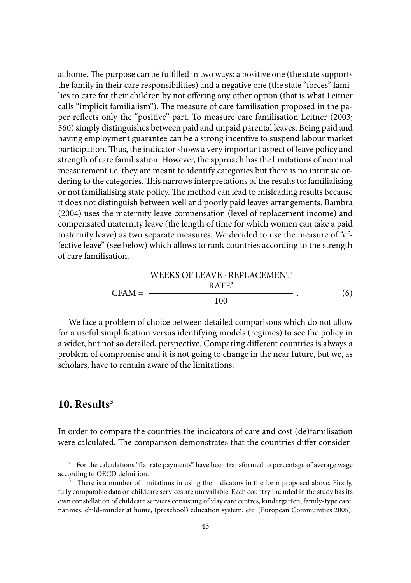at home. The purpose can be fulfilled in two ways: a positive one (the state supports the family in their care responsibilities) and a negative one (the state "forces" families to care for their children by not offering any other option (that is what Leitner calls "implicit familialism"). The measure of care familisation proposed in the paper reflects only the "positive" part. To measure care familisation Leitner (2003; 360) simply distinguishes between paid and unpaid parental leaves. Being paid and having employment guarantee can be a strong incentive to suspend labour market participation. Thus, the indicator shows a very important aspect of leave policy and strength of care familisation. However, the approach has the limitations of nominal measurement i.e. they are meant to identify categories but there is no intrinsic ordering to the categories. This narrows interpretations of the results to: familialising or not familialising state policy. The method can lead to misleading results because it does not distinguish between well and poorly paid leaves arrangements. Bambra (2004) uses the maternity leave compensation (level of replacement income) and compensated maternity leave (the length of time for which women can take a paid maternity leave) as two separate measures. We decided to use the measure of "effective leave" (see below) which allows to rank countries according to the strength of care familisation.

$$
VEEKS OF LEAVE \cdot REPLACEMENT
$$
  
CFAM = 
$$
\frac{RATE^{2}}{100}
$$
 (6)

We face a problem of choice between detailed comparisons which do not allow for a useful simplification versus identifying models (regimes) to see the policy in a wider, but not so detailed, perspective. Comparing different countries is always a problem of compromise and it is not going to change in the near future, but we, as scholars, have to remain aware of the limitations.

#### **10. Results3**

In order to compare the countries the indicators of care and cost (de)familisation were calculated. The comparison demonstrates that the countries differ consider-

<sup>&</sup>lt;sup>2</sup> For the calculations "flat rate payments" have been transformed to percentage of average wage according to OECD definition.

 $3$  There is a number of limitations in using the indicators in the form proposed above. Firstly, fully comparable data on childcare services are unavailable. Each country included in the study has its own constellation of childcare services consisting of :day care centres, kindergarten, family-type care, nannies, child-minder at home, (preschool) education system, etc. (European Communities 2005).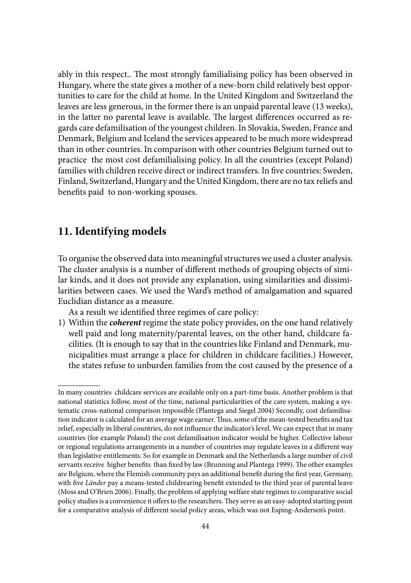ably in this respect.. The most strongly familialising policy has been observed in Hungary, where the state gives a mother of a new-born child relatively best opportunities to care for the child at home. In the United Kingdom and Switzerland the leaves are less generous, in the former there is an unpaid parental leave (13 weeks), in the latter no parental leave is available. The largest differences occurred as regards care defamilisation of the youngest children. In Slovakia, Sweden, France and Denmark, Belgium and Iceland the services appeared to be much more widespread than in other countries. In comparison with other countries Belgium turned out to practice the most cost defamilialising policy. In all the countries (except Poland) families with children receive direct or indirect transfers. In five countries: Sweden, Finland, Switzerland, Hungary and the United Kingdom, there are no tax reliefs and benefits paid to non-working spouses.

### **11. Identifying models**

To organise the observed data into meaningful structures we used a cluster analysis. The cluster analysis is a number of different methods of grouping objects of similar kinds, and it does not provide any explanation, using similarities and dissimilarities between cases. We used the Ward's method of amalgamation and squared Euclidian distance as a measure.

As a result we identified three regimes of care policy:

1) Within the *coherent* regime the state policy provides, on the one hand relatively well paid and long maternity/parental leaves, on the other hand, childcare facilities. (It is enough to say that in the countries like Finland and Denmark, municipalities must arrange a place for children in childcare facilities.) However, the states refuse to unburden families from the cost caused by the presence of a

In many countries childcare services are available only on a part-time basis. Another problem is that national statistics follow, most of the time, national particularities of the care system, making a systematic cross-national comparison impossible (Plantega and Siegel 2004) Secondly, cost defamilisation indicator is calculated for an average wage earner. Thus, some of the mean-tested benefits and tax relief, especially in liberal countries, do not influence the indicator's level. We can expect that in many countries (for example Poland) the cost defamilisation indicator would be higher. Collective labour or regional regulations arrangements in a number of countries may regulate leaves in a different way than legislative entitlements. So for example in Denmark and the Netherlands a large number of civil servants receive higher benefits than fixed by law (Brunning and Plantega 1999). The other examples are Belgium, where the Flemish community pays an additional benefit during the first year, Germany, with five *Länder* pay a means-tested childrearing benefit extended to the third year of parental leave (Moss and O'Brien 2006). Finally, the problem of applying welfare state regimes to comparative social policy studies is a convenience it offers to the researchers. They serve as an easy-adopted starting point for a comparative analysis of different social policy areas, which was not Esping-Andersen's point.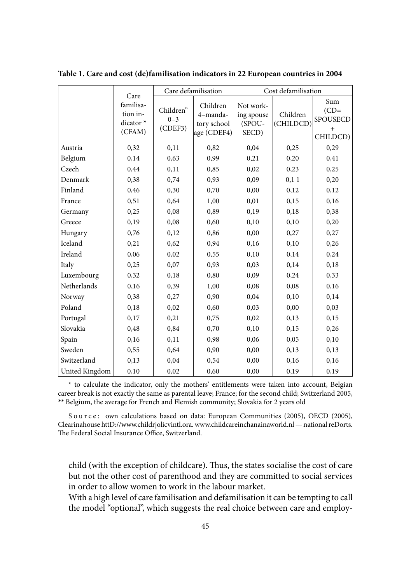|                | Care                                         | Care defamilisation             |                                                    | Cost defamilisation                        |                       |                                              |
|----------------|----------------------------------------------|---------------------------------|----------------------------------------------------|--------------------------------------------|-----------------------|----------------------------------------------|
|                | familisa-<br>tion in-<br>dicator *<br>(CFAM) | Children"<br>$0 - 3$<br>(CDEF3) | Children<br>4-manda-<br>tory school<br>age (CDEF4) | Not work-<br>ing spouse<br>(SPOU-<br>SECD) | Children<br>(CHILDCD) | Sum<br>$(CD=$<br>SPOUSECD<br>$+$<br>CHILDCD) |
| Austria        | 0,32                                         | 0,11                            | 0,82                                               | 0,04                                       | 0,25                  | 0,29                                         |
| Belgium        | 0,14                                         | 0,63                            | 0,99                                               | 0,21                                       | 0,20                  | 0,41                                         |
| Czech          | 0,44                                         | 0,11                            | 0,85                                               | 0,02                                       | 0,23                  | 0,25                                         |
| Denmark        | 0,38                                         | 0,74                            | 0,93                                               | 0,09                                       | 0,11                  | 0,20                                         |
| Finland        | 0,46                                         | 0,30                            | 0,70                                               | 0,00                                       | 0,12                  | 0,12                                         |
| France         | 0,51                                         | 0,64                            | 1,00                                               | 0,01                                       | 0,15                  | 0,16                                         |
| Germany        | 0,25                                         | 0,08                            | 0,89                                               | 0,19                                       | 0,18                  | 0,38                                         |
| Greece         | 0,19                                         | 0,08                            | 0,60                                               | 0,10                                       | 0,10                  | 0,20                                         |
| Hungary        | 0,76                                         | 0,12                            | 0,86                                               | 0,00                                       | 0,27                  | 0,27                                         |
| Iceland        | 0,21                                         | 0,62                            | 0,94                                               | 0,16                                       | 0,10                  | 0,26                                         |
| Ireland        | 0,06                                         | 0,02                            | 0,55                                               | 0,10                                       | 0,14                  | 0,24                                         |
| Italy          | 0,25                                         | 0,07                            | 0,93                                               | 0,03                                       | 0,14                  | 0,18                                         |
| Luxembourg     | 0,32                                         | 0,18                            | 0,80                                               | 0,09                                       | 0,24                  | 0,33                                         |
| Netherlands    | 0,16                                         | 0,39                            | 1,00                                               | 0,08                                       | 0,08                  | 0,16                                         |
| Norway         | 0,38                                         | 0,27                            | 0,90                                               | 0,04                                       | 0,10                  | 0,14                                         |
| Poland         | 0,18                                         | 0,02                            | 0,60                                               | 0,03                                       | 0,00                  | 0,03                                         |
| Portugal       | 0,17                                         | 0,21                            | 0,75                                               | 0,02                                       | 0,13                  | 0,15                                         |
| Slovakia       | 0,48                                         | 0,84                            | 0,70                                               | 0,10                                       | 0,15                  | 0,26                                         |
| Spain          | 0,16                                         | 0,11                            | 0,98                                               | 0,06                                       | 0,05                  | 0,10                                         |
| Sweden         | 0,55                                         | 0,64                            | 0,90                                               | 0,00                                       | 0,13                  | 0,13                                         |
| Switzerland    | 0,13                                         | 0,04                            | 0,54                                               | 0,00                                       | 0,16                  | 0,16                                         |
| United Kingdom | 0,10                                         | 0,02                            | 0,60                                               | 0,00                                       | 0,19                  | 0,19                                         |

**Table 1. Care and cost (de)familisation indicators in 22 European countries in 2004**

\* to calculate the indicator, only the mothers' entitlements were taken into account, Belgian career break is not exactly the same as parental leave; France; for the second child; Switzerland 2005, \*\* Belgium, the average for French and Flemish community; Slovakia for 2 years old

Source: own calculations based on data: European Communities (2005), OECD (2005), Clearinahouse httD://www.childrjolicvintl.ora. www.childcareinchanainaworld.nl — national reDorts. The Federal Social Insurance Office, Switzerland.

child (with the exception of childcare). Thus, the states socialise the cost of care but not the other cost of parenthood and they are committed to social services in order to allow women to work in the labour market.

 With a high level of care familisation and defamilisation it can be tempting to call the model "optional", which suggests the real choice between care and employ-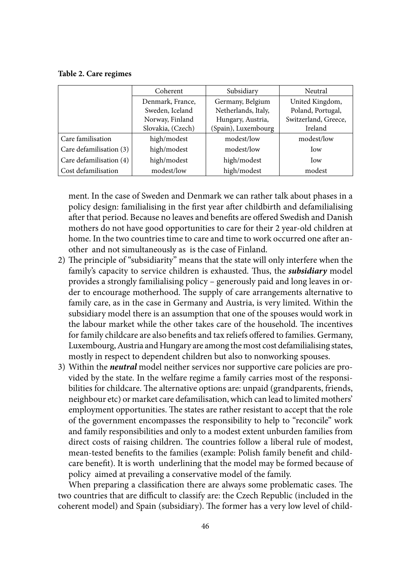#### **Table 2. Care regimes**

|                         | Coherent          | Subsidiary          | Neutral              |  |
|-------------------------|-------------------|---------------------|----------------------|--|
|                         | Denmark, France,  | Germany, Belgium    | United Kingdom,      |  |
|                         | Sweden, Iceland   | Netherlands, Italy, | Poland, Portugal,    |  |
|                         | Norway, Finland   | Hungary, Austria,   | Switzerland, Greece, |  |
|                         | Slovakia, (Czech) | (Spain), Luxembourg | Ireland              |  |
| Care familisation       | high/modest       | modest/low          | modest/low           |  |
| Care defamilisation (3) | high/modest       | modest/low          | Iow                  |  |
| Care defamilisation (4) | high/modest       | high/modest         | Iow                  |  |
| Cost defamilisation     | modest/low        | high/modest         | modest               |  |

ment. In the case of Sweden and Denmark we can rather talk about phases in a policy design: familialising in the first year after childbirth and defamilialising after that period. Because no leaves and benefits are offered Swedish and Danish mothers do not have good opportunities to care for their 2 year-old children at home. In the two countries time to care and time to work occurred one after another and not simultaneously as is the case of Finland.

- 2) The principle of "subsidiarity" means that the state will only interfere when the family's capacity to service children is exhausted. Thus, the *subsidiary* model provides a strongly familialising policy – generously paid and long leaves in order to encourage motherhood. The supply of care arrangements alternative to family care, as in the case in Germany and Austria, is very limited. Within the subsidiary model there is an assumption that one of the spouses would work in the labour market while the other takes care of the household. The incentives for family childcare are also benefits and tax reliefs offered to families. Germany, Luxembourg, Austria and Hungary are among the most cost defamilialising states, mostly in respect to dependent children but also to nonworking spouses.
- 3) Within the *neutral* model neither services nor supportive care policies are provided by the state. In the welfare regime a family carries most of the responsibilities for childcare. The alternative options are: unpaid (grandparents, friends, neighbour etc) or market care defamilisation, which can lead to limited mothers' employment opportunities. The states are rather resistant to accept that the role of the government encompasses the responsibility to help to "reconcile" work and family responsibilities and only to a modest extent unburden families from direct costs of raising children. The countries follow a liberal rule of modest, mean-tested benefits to the families (example: Polish family benefit and childcare benefit). It is worth underlining that the model may be formed because of policy aimed at prevailing a conservative model of the family.

When preparing a classification there are always some problematic cases. The two countries that are difficult to classify are: the Czech Republic (included in the coherent model) and Spain (subsidiary). The former has a very low level of child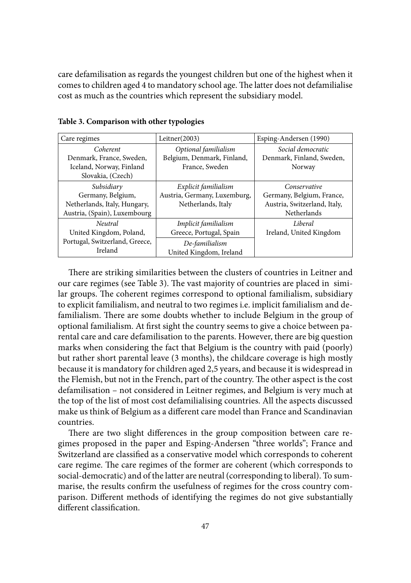care defamilisation as regards the youngest children but one of the highest when it comes to children aged 4 to mandatory school age. The latter does not defamilialise cost as much as the countries which represent the subsidiary model.

| Care regimes                   | Leitner $(2003)$             | Esping-Andersen (1990)       |  |
|--------------------------------|------------------------------|------------------------------|--|
| Coherent                       | Optional familialism         | Social democratic            |  |
| Denmark, France, Sweden,       | Belgium, Denmark, Finland,   | Denmark, Finland, Sweden,    |  |
| Iceland, Norway, Finland       | France, Sweden               | Norway                       |  |
| Slovakia, (Czech)              |                              |                              |  |
| Subsidiary                     | Explicit familialism         | Conservative                 |  |
| Germany, Belgium,              | Austria, Germany, Luxemburg, | Germany, Belgium, France,    |  |
| Netherlands, Italy, Hungary,   | Netherlands, Italy           | Austria, Switzerland, Italy, |  |
| Austria, (Spain), Luxembourg   |                              | Netherlands                  |  |
| <i>Neutral</i>                 | Implicit familialism         | Liberal                      |  |
| United Kingdom, Poland,        | Greece, Portugal, Spain      | Ireland, United Kingdom      |  |
| Portugal, Switzerland, Greece, | De-familialism               |                              |  |
| Ireland                        | United Kingdom, Ireland      |                              |  |

**Table 3. Comparison with other typologies**

There are striking similarities between the clusters of countries in Leitner and our care regimes (see Table 3). The vast majority of countries are placed in similar groups. The coherent regimes correspond to optional familialism, subsidiary to explicit familialism, and neutral to two regimes i.e. implicit familialism and defamilialism. There are some doubts whether to include Belgium in the group of optional familialism. At first sight the country seems to give a choice between parental care and care defamilisation to the parents. However, there are big question marks when considering the fact that Belgium is the country with paid (poorly) but rather short parental leave (3 months), the childcare coverage is high mostly because it is mandatory for children aged 2,5 years, and because it is widespread in the Flemish, but not in the French, part of the country. The other aspect is the cost defamilisation – not considered in Leitner regimes, and Belgium is very much at the top of the list of most cost defamilialising countries. All the aspects discussed make us think of Belgium as a different care model than France and Scandinavian countries.

There are two slight differences in the group composition between care regimes proposed in the paper and Esping-Andersen "three worlds"; France and Switzerland are classified as a conservative model which corresponds to coherent care regime. The care regimes of the former are coherent (which corresponds to social-democratic) and of the latter are neutral (corresponding to liberal). To summarise, the results confirm the usefulness of regimes for the cross country comparison. Different methods of identifying the regimes do not give substantially different classification.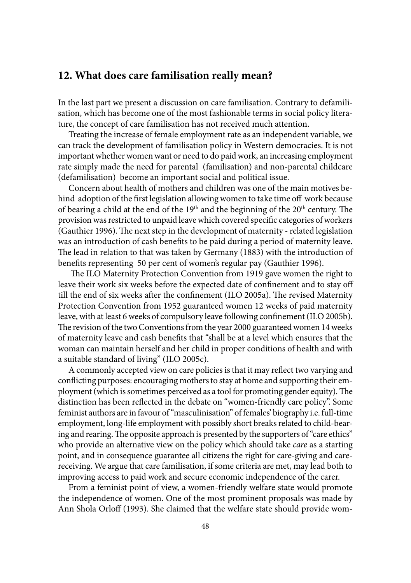#### **12. What does care familisation really mean?**

In the last part we present a discussion on care familisation. Contrary to defamilisation, which has become one of the most fashionable terms in social policy literature, the concept of care familisation has not received much attention.

Treating the increase of female employment rate as an independent variable, we can track the development of familisation policy in Western democracies. It is not important whether women want or need to do paid work, an increasing employment rate simply made the need for parental (familisation) and non-parental childcare (defamilisation) become an important social and political issue.

Concern about health of mothers and children was one of the main motives behind adoption of the first legislation allowing women to take time off work because of bearing a child at the end of the  $19<sup>th</sup>$  and the beginning of the  $20<sup>th</sup>$  century. The provision was restricted to unpaid leave which covered specific categories of workers (Gauthier 1996). The next step in the development of maternity - related legislation was an introduction of cash benefits to be paid during a period of maternity leave. The lead in relation to that was taken by Germany (1883) with the introduction of benefits representing 50 per cent of women's regular pay (Gauthier 1996).

The ILO Maternity Protection Convention from 1919 gave women the right to leave their work six weeks before the expected date of confinement and to stay off till the end of six weeks after the confinement (ILO 2005a). The revised Maternity Protection Convention from 1952 guaranteed women 12 weeks of paid maternity leave, with at least 6 weeks of compulsory leave following confinement (ILO 2005b). The revision of the two Conventions from the year 2000 guaranteed women 14 weeks of maternity leave and cash benefits that "shall be at a level which ensures that the woman can maintain herself and her child in proper conditions of health and with a suitable standard of living" (ILO 2005c).

A commonly accepted view on care policies is that it may reflect two varying and conflicting purposes: encouraging mothers to stay at home and supporting their employment (which is sometimes perceived as a tool for promoting gender equity). The distinction has been reflected in the debate on "women-friendly care policy". Some feminist authors are in favour of "masculinisation" of females' biography i.e. full-time employment, long-life employment with possibly short breaks related to child-bearing and rearing. The opposite approach is presented by the supporters of "care ethics" who provide an alternative view on the policy which should take *care* as a starting point, and in consequence guarantee all citizens the right for care-giving and carereceiving. We argue that care familisation, if some criteria are met, may lead both to improving access to paid work and secure economic independence of the carer.

From a feminist point of view, a women-friendly welfare state would promote the independence of women. One of the most prominent proposals was made by Ann Shola Orloff (1993). She claimed that the welfare state should provide wom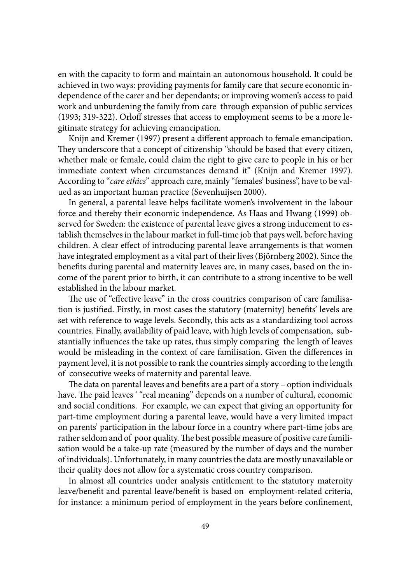en with the capacity to form and maintain an autonomous household. It could be achieved in two ways: providing payments for family care that secure economic independence of the carer and her dependants; or improving women's access to paid work and unburdening the family from care through expansion of public services (1993; 319-322). Orloff stresses that access to employment seems to be a more legitimate strategy for achieving emancipation.

Knijn and Kremer (1997) present a different approach to female emancipation. They underscore that a concept of citizenship "should be based that every citizen, whether male or female, could claim the right to give care to people in his or her immediate context when circumstances demand it" (Knijn and Kremer 1997). According to "*care ethics*" approach care, mainly "females' business", have to be valued as an important human practice (Sevenhuijsen 2000).

In general, a parental leave helps facilitate women's involvement in the labour force and thereby their economic independence. As Haas and Hwang (1999) observed for Sweden: the existence of parental leave gives a strong inducement to establish themselves in the labour market in full-time job that pays well, before having children. A clear effect of introducing parental leave arrangements is that women have integrated employment as a vital part of their lives (Björnberg 2002). Since the benefits during parental and maternity leaves are, in many cases, based on the income of the parent prior to birth, it can contribute to a strong incentive to be well established in the labour market.

The use of "effective leave" in the cross countries comparison of care familisation is justified. Firstly, in most cases the statutory (maternity) benefits' levels are set with reference to wage levels. Secondly, this acts as a standardizing tool across countries. Finally, availability of paid leave, with high levels of compensation, substantially influences the take up rates, thus simply comparing the length of leaves would be misleading in the context of care familisation. Given the differences in payment level, it is not possible to rank the countries simply according to the length of consecutive weeks of maternity and parental leave.

The data on parental leaves and benefits are a part of a story – option individuals have. The paid leaves '"real meaning" depends on a number of cultural, economic and social conditions. For example, we can expect that giving an opportunity for part-time employment during a parental leave, would have a very limited impact on parents' participation in the labour force in a country where part-time jobs are rather seldom and of poor quality. The best possible measure of positive care familisation would be a take-up rate (measured by the number of days and the number of individuals). Unfortunately, in many countries the data are mostly unavailable or their quality does not allow for a systematic cross country comparison.

In almost all countries under analysis entitlement to the statutory maternity leave/benefit and parental leave/benefit is based on employment-related criteria, for instance: a minimum period of employment in the years before confinement,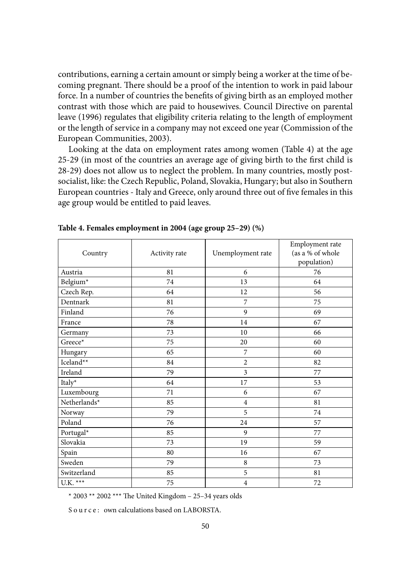contributions, earning a certain amount or simply being a worker at the time of becoming pregnant. There should be a proof of the intention to work in paid labour force. In a number of countries the benefits of giving birth as an employed mother contrast with those which are paid to housewives. Council Directive on parental leave (1996) regulates that eligibility criteria relating to the length of employment or the length of service in a company may not exceed one year (Commission of the European Communities, 2003).

Looking at the data on employment rates among women (Table 4) at the age 25-29 (in most of the countries an average age of giving birth to the first child is 28-29) does not allow us to neglect the problem. In many countries, mostly postsocialist, like: the Czech Republic, Poland, Slovakia, Hungary; but also in Southern European countries - Italy and Greece, only around three out of five females in this age group would be entitled to paid leaves.

| Country      | Activity rate | Unemployment rate       | Employment rate<br>(as a % of whole<br>population) |
|--------------|---------------|-------------------------|----------------------------------------------------|
| Austria      | 81            | 6                       | 76                                                 |
| Belgium*     | 74            | 13                      | 64                                                 |
| Czech Rep.   | 64            | 12                      | 56                                                 |
| Dentnark     | 81            | 7                       | 75                                                 |
| Finland      | 76            | 9                       | 69                                                 |
| France       | 78            | 14                      | 67                                                 |
| Germany      | 73            | 10                      | 66                                                 |
| Greece*      | 75            | 20                      | 60                                                 |
| Hungary      | 65            | 7                       | 60                                                 |
| Iceland**    | 84            | $\overline{2}$          | 82                                                 |
| Ireland      | 79            | $\overline{\mathbf{3}}$ | 77                                                 |
| Italy*       | 64            | 17                      | 53                                                 |
| Luxembourg   | 71            | 6                       | 67                                                 |
| Netherlands* | 85            | $\overline{4}$          | 81                                                 |
| Norway       | 79            | 5                       | 74                                                 |
| Poland       | 76            | 24                      | 57                                                 |
| Portugal*    | 85            | 9                       | 77                                                 |
| Slovakia     | 73            | 19                      | 59                                                 |
| Spain        | 80            | 16                      | 67                                                 |
| Sweden       | 79            | 8                       | 73                                                 |
| Switzerland  | 85            | 5                       | 81                                                 |
| U.K. $***$   | 75            | $\overline{4}$          | 72                                                 |

**Table 4. Females employment in 2004 (age group 25–29) (%)**

\* 2003 \*\* 2002 \*\*\* The United Kingdom - 25-34 years olds

S o u r c e : own calculations based on LABORSTA.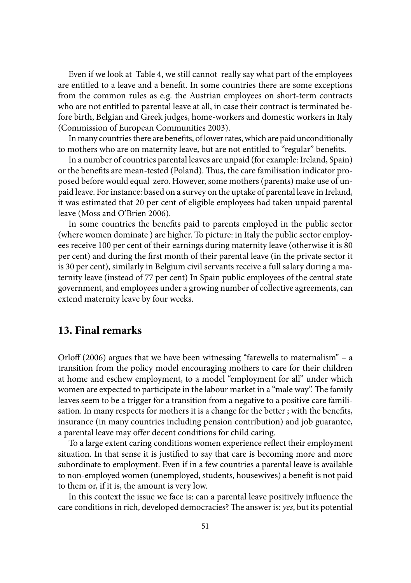Even if we look at Table 4, we still cannot really say what part of the employees are entitled to a leave and a benefit. In some countries there are some exceptions from the common rules as e.g. the Austrian employees on short-term contracts who are not entitled to parental leave at all, in case their contract is terminated before birth, Belgian and Greek judges, home-workers and domestic workers in Italy (Commission of European Communities 2003).

In many countries there are benefits, of lower rates, which are paid unconditionally to mothers who are on maternity leave, but are not entitled to "regular" benefits.

In a number of countries parental leaves are unpaid (for example: Ireland, Spain) or the benefits are mean-tested (Poland). Thus, the care familisation indicator proposed before would equal zero. However, some mothers (parents) make use of unpaid leave. For instance: based on a survey on the uptake of parental leave in Ireland, it was estimated that 20 per cent of eligible employees had taken unpaid parental leave (Moss and O'Brien 2006).

In some countries the benefits paid to parents employed in the public sector (where women dominate ) are higher. To picture: in Italy the public sector employees receive 100 per cent of their earnings during maternity leave (otherwise it is 80 per cent) and during the first month of their parental leave (in the private sector it is 30 per cent), similarly in Belgium civil servants receive a full salary during a maternity leave (instead of 77 per cent) In Spain public employees of the central state government, and employees under a growing number of collective agreements, can extend maternity leave by four weeks.

#### **13. Final remarks**

Orloff (2006) argues that we have been witnessing "farewells to maternalism" – a transition from the policy model encouraging mothers to care for their children at home and eschew employment, to a model "employment for all" under which women are expected to participate in the labour market in a "male way". The family leaves seem to be a trigger for a transition from a negative to a positive care familisation. In many respects for mothers it is a change for the better ; with the benefits, insurance (in many countries including pension contribution) and job guarantee, a parental leave may offer decent conditions for child caring.

To a large extent caring conditions women experience reflect their employment situation. In that sense it is justified to say that care is becoming more and more subordinate to employment. Even if in a few countries a parental leave is available to non-employed women (unemployed, students, housewives) a benefit is not paid to them or, if it is, the amount is very low.

In this context the issue we face is: can a parental leave positively influence the care conditions in rich, developed democracies? The answer is: *yes*, but its potential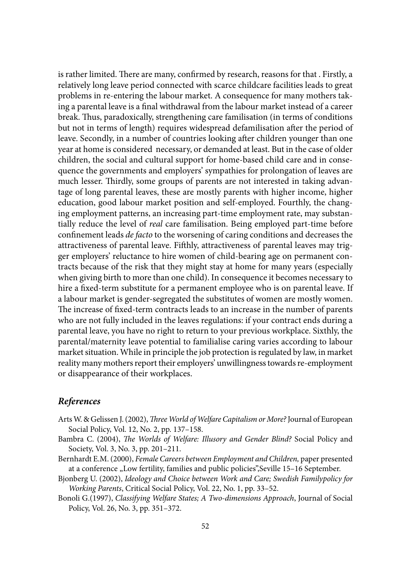is rather limited. There are many, confirmed by research, reasons for that . Firstly, a relatively long leave period connected with scarce childcare facilities leads to great problems in re-entering the labour market. A consequence for many mothers taking a parental leave is a final withdrawal from the labour market instead of a career break. Thus, paradoxically, strengthening care familisation (in terms of conditions but not in terms of length) requires widespread defamilisation after the period of leave. Secondly, in a number of countries looking after children younger than one year at home is considered necessary, or demanded at least. But in the case of older children, the social and cultural support for home-based child care and in consequence the governments and employers' sympathies for prolongation of leaves are much lesser. Thirdly, some groups of parents are not interested in taking advantage of long parental leaves, these are mostly parents with higher income, higher education, good labour market position and self-employed. Fourthly, the changing employment patterns, an increasing part-time employment rate, may substantially reduce the level of *real* care familisation. Being employed part-time before confinement leads *de facto* to the worsening of caring conditions and decreases the attractiveness of parental leave. Fifthly, attractiveness of parental leaves may trigger employers' reluctance to hire women of child-bearing age on permanent contracts because of the risk that they might stay at home for many years (especially when giving birth to more than one child). In consequence it becomes necessary to hire a fixed-term substitute for a permanent employee who is on parental leave. If a labour market is gender-segregated the substitutes of women are mostly women. The increase of fixed-term contracts leads to an increase in the number of parents who are not fully included in the leaves regulations: if your contract ends during a parental leave, you have no right to return to your previous workplace. Sixthly, the parental/maternity leave potential to familialise caring varies according to labour market situation. While in principle the job protection is regulated by law, in market reality many mothers report their employers' unwillingness towards re-employment or disappearance of their workplaces.

#### *References*

- Arts W. & Gelissen J. (2002), *Th ree World of Welfare Capitalism or More?* Journal of European Social Policy, Vol. 12, No. 2, pp. 137–158.
- Bambra C. (2004), *The Worlds of Welfare: Illusory and Gender Blind?* Social Policy and Society, Vol. 3, No. 3, pp. 201–211.
- Bernhardt E.M. (2000), *Female Careers between Employment and Children,* paper presented at a conference "Low fertility, families and public policies", Seville 15-16 September.
- Bjonberg U. (2002), *Ideology and Choice between Work and Care; Swedish Familypolicy for Working Parents*, Critical Social Policy, Vol. 22, No. 1, pp. 33–52.
- Bonoli G.(1997), *Classifying Welfare States; A Two-dimensions Approach*, Journal of Social Policy, Vol. 26, No. 3, pp. 351–372.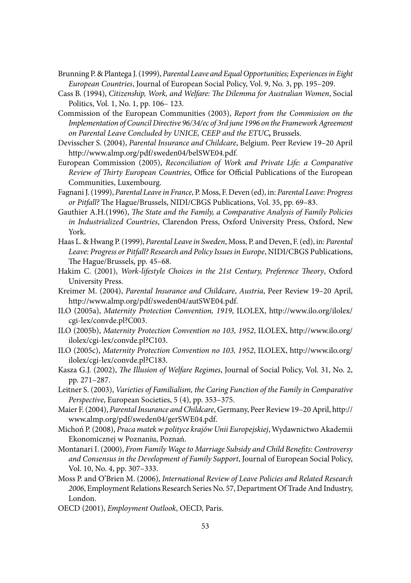- Brunning P. & Plantega J. (1999), *Parental Leave and Equal Opportunities; Experiences in Eight European Countries*, Journal of European Social Policy, Vol. 9, No. 3, pp. 195–209.
- Cass B. (1994), *Citizenship, Work, and Welfare: The Dilemma for Australian Women, Social* Politics, Vol. 1, No. 1, pp. 106– 123.
- Commission of the European Communities (2003), *Report from the Commission on the Implementation of Council Directive 96/34/ec of 3rd june 1996 on the Framework Agreement on Parental Leave Concluded by UNICE, CEEP and the ETUC***,** Brussels.
- Devisscher S. (2004), *Parental Insurance and Childcare*, Belgium. Peer Review 19–20 April http://www.almp.org/pdf/sweden04/belSWE04.pdf.
- European Commission (2005), *Reconciliation of Work and Private Life: a Comparative Review of Thirty European Countries*, Office for Official Publications of the European Communities, Luxembourg.
- Fagnani J. (1999), *Parental Leave in France*, P. Moss, F. Deven (ed), in: *Parental Leave: Progress or Pitfall?* The Hague/Brussels, NIDI/CBGS Publications, Vol. 35, pp. 69-83.
- Gauthier A.H.(1996), *The State and the Family, a Comparative Analysis of Family Policies in Industrialized Countries*, Clarendon Press, Oxford University Press, Oxford, New York.
- Haas L. & Hwang P. (1999), *Parental Leave in Sweden*, Moss, P. and Deven, F. (ed), in: *Parental Leave: Progress or Pitfall? Research and Policy Issues in Europe*, NIDI/CBGS Publications, The Hague/Brussels, pp. 45-68.
- Hakim C. (2001), *Work-lifestyle Choices in the 21st Century, Preference Theory*, Oxford University Press.
- Kreimer M. (2004), *Parental Insurance and Childcare*, *Austria*, Peer Review 19–20 April, http://www.almp.org/pdf/sweden04/autSWE04.pdf.
- ILO (2005a), *Maternity Protection Convention, 1919*, ILOLEX, http://www.ilo.org/ilolex/ cgi-lex/convde.pl?C003.
- ILO (2005b), *Maternity Protection Convention no 103, 1952*, ILOLEX, http://www.ilo.org/ ilolex/cgi-lex/convde.pl?C103.
- ILO (2005c), *Maternity Protection Convention no 103, 1952*, ILOLEX, http://www.ilo.org/ ilolex/cgi-lex/convde.pl?C183.
- Kasza G.J. (2002), *The Illusion of Welfare Regimes*, Journal of Social Policy, Vol. 31, No. 2, pp. 271–287.
- Leitner S. (2003), *Varieties of Familialism, the Caring Function of the Family in Comparative Perspective*, European Societies, 5 (4), pp. 353–375.
- Maier F. (2004), *Parental Insurance and Childcare*, Germany, Peer Review 19–20 April, http:// www.almp.org/pdf/sweden04/gerSWE04.pdf.
- Michoń P. (2008), *Praca matek w polityce krajów Unii Europejskiej*, Wydawnictwo Akademii Ekonomicznej w Poznaniu, Poznań.
- Montanari I. (2000), *From Family Wage to Marriage Subsidy and Child Benefits: Controversy and Consensus in the Development of Family Support*, Journal of European Social Policy, Vol. 10, No. 4, pp. 307–333.
- Moss P. and O'Brien M. (2006), *International Review of Leave Policies and Related Research 2006*, Employment Relations Research Series No. 57, Department Of Trade And Industry, London.
- OECD (2001), *Employment Outlook*, OECD, Paris.